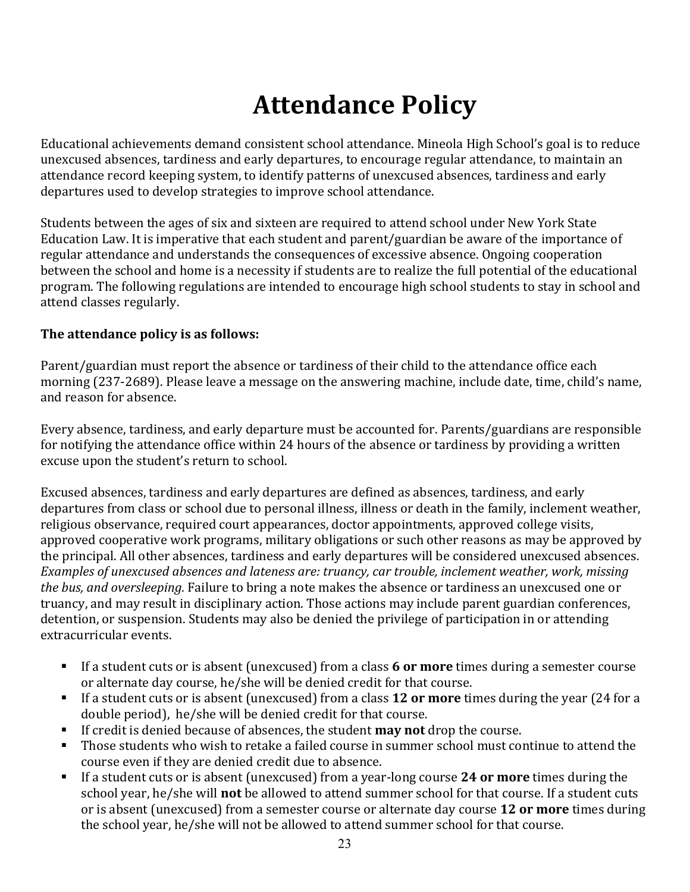# **Attendance Policy**

Educational achievements demand consistent school attendance. Mineola High School's goal is to reduce unexcused absences, tardiness and early departures, to encourage regular attendance, to maintain an attendance record keeping system, to identify patterns of unexcused absences, tardiness and early departures used to develop strategies to improve school attendance.

Students between the ages of six and sixteen are required to attend school under New York State Education Law. It is imperative that each student and parent/guardian be aware of the importance of regular attendance and understands the consequences of excessive absence. Ongoing cooperation between the school and home is a necessity if students are to realize the full potential of the educational program. The following regulations are intended to encourage high school students to stay in school and attend classes regularly.

#### The attendance policy is as follows:

Parent/guardian must report the absence or tardiness of their child to the attendance office each morning (237-2689). Please leave a message on the answering machine, include date, time, child's name, and reason for absence.

Every absence, tardiness, and early departure must be accounted for. Parents/guardians are responsible for notifying the attendance office within 24 hours of the absence or tardiness by providing a written excuse upon the student's return to school.

Excused absences, tardiness and early departures are defined as absences, tardiness, and early departures from class or school due to personal illness, illness or death in the family, inclement weather, religious observance, required court appearances, doctor appointments, approved college visits, approved cooperative work programs, military obligations or such other reasons as may be approved by the principal. All other absences, tardiness and early departures will be considered unexcused absences. *Examples of unexcused absences and lateness are: truancy, car trouble, inclement weather, work, missing the bus, and oversleeping.* Failure to bring a note makes the absence or tardiness an unexcused one or truancy, and may result in disciplinary action. Those actions may include parent guardian conferences, detention, or suspension. Students may also be denied the privilege of participation in or attending extracurricular events.

- **•** If a student cuts or is absent (unexcused) from a class 6 or more times during a semester course or alternate day course, he/she will be denied credit for that course.
- **•** If a student cuts or is absent (unexcused) from a class **12 or more** times during the year (24 for a double period), he/she will be denied credit for that course.
- If credit is denied because of absences, the student **may not** drop the course.
- Those students who wish to retake a failed course in summer school must continue to attend the course even if they are denied credit due to absence.
- If a student cuts or is absent (unexcused) from a year-long course **24 or more** times during the school year, he/she will **not** be allowed to attend summer school for that course. If a student cuts or is absent (unexcused) from a semester course or alternate day course 12 or more times during the school year, he/she will not be allowed to attend summer school for that course.